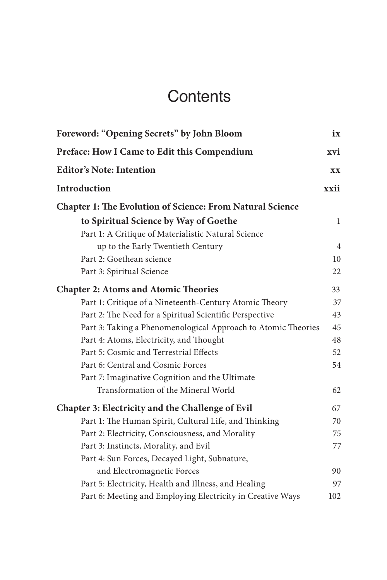# **Contents**

| Foreword: "Opening Secrets" by John Bloom                        | ix   |
|------------------------------------------------------------------|------|
| Preface: How I Came to Edit this Compendium                      | xvi  |
| <b>Editor's Note: Intention</b>                                  | XX   |
| Introduction                                                     | xxii |
| <b>Chapter 1: The Evolution of Science: From Natural Science</b> |      |
| to Spiritual Science by Way of Goethe                            | 1    |
| Part 1: A Critique of Materialistic Natural Science              |      |
| up to the Early Twentieth Century                                | 4    |
| Part 2: Goethean science                                         | 10   |
| Part 3: Spiritual Science                                        | 22   |
| <b>Chapter 2: Atoms and Atomic Theories</b>                      | 33   |
| Part 1: Critique of a Nineteenth-Century Atomic Theory           | 37   |
| Part 2: The Need for a Spiritual Scientific Perspective          | 43   |
| Part 3: Taking a Phenomenological Approach to Atomic Theories    | 45   |
| Part 4: Atoms, Electricity, and Thought                          | 48   |
| Part 5: Cosmic and Terrestrial Effects                           | 52   |
| Part 6: Central and Cosmic Forces                                | 54   |
| Part 7: Imaginative Cognition and the Ultimate                   |      |
| Transformation of the Mineral World                              | 62   |
| <b>Chapter 3: Electricity and the Challenge of Evil</b>          | 67   |
| Part 1: The Human Spirit, Cultural Life, and Thinking            | 70   |
| Part 2: Electricity, Consciousness, and Morality                 | 75   |
| Part 3: Instincts, Morality, and Evil                            | 77   |
| Part 4: Sun Forces, Decayed Light, Subnature,                    |      |
| and Electromagnetic Forces                                       | 90   |
| Part 5: Electricity, Health and Illness, and Healing             | 97   |
| Part 6: Meeting and Employing Electricity in Creative Ways       | 102  |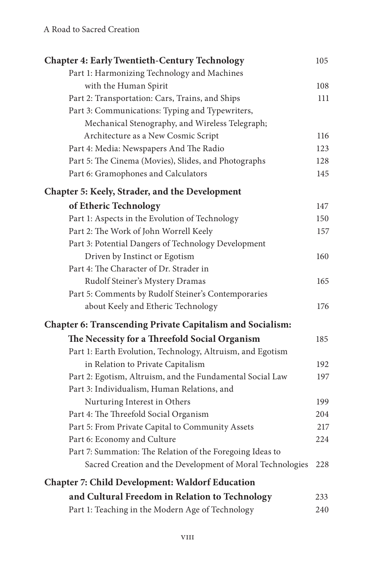| <b>Chapter 4: Early Twentieth-Century Technology</b>             | 105 |
|------------------------------------------------------------------|-----|
| Part 1: Harmonizing Technology and Machines                      |     |
| with the Human Spirit                                            | 108 |
| Part 2: Transportation: Cars, Trains, and Ships                  | 111 |
| Part 3: Communications: Typing and Typewriters,                  |     |
| Mechanical Stenography, and Wireless Telegraph;                  |     |
| Architecture as a New Cosmic Script                              | 116 |
| Part 4: Media: Newspapers And The Radio                          | 123 |
| Part 5: The Cinema (Movies), Slides, and Photographs             | 128 |
| Part 6: Gramophones and Calculators                              | 145 |
| Chapter 5: Keely, Strader, and the Development                   |     |
| of Etheric Technology                                            | 147 |
| Part 1: Aspects in the Evolution of Technology                   | 150 |
| Part 2: The Work of John Worrell Keely                           | 157 |
| Part 3: Potential Dangers of Technology Development              |     |
| Driven by Instinct or Egotism                                    | 160 |
| Part 4: The Character of Dr. Strader in                          |     |
| Rudolf Steiner's Mystery Dramas                                  | 165 |
| Part 5: Comments by Rudolf Steiner's Contemporaries              |     |
| about Keely and Etheric Technology                               | 176 |
| <b>Chapter 6: Transcending Private Capitalism and Socialism:</b> |     |
| The Necessity for a Threefold Social Organism                    | 185 |
| Part 1: Earth Evolution, Technology, Altruism, and Egotism       |     |
| in Relation to Private Capitalism                                | 192 |
| Part 2: Egotism, Altruism, and the Fundamental Social Law        | 197 |
| Part 3: Individualism, Human Relations, and                      |     |
| Nurturing Interest in Others                                     | 199 |
| Part 4: The Threefold Social Organism                            | 204 |
| Part 5: From Private Capital to Community Assets                 | 217 |
| Part 6: Economy and Culture                                      | 224 |
| Part 7: Summation: The Relation of the Foregoing Ideas to        |     |
| Sacred Creation and the Development of Moral Technologies        | 228 |
| <b>Chapter 7: Child Development: Waldorf Education</b>           |     |
| and Cultural Freedom in Relation to Technology                   | 233 |
| Part 1: Teaching in the Modern Age of Technology                 | 240 |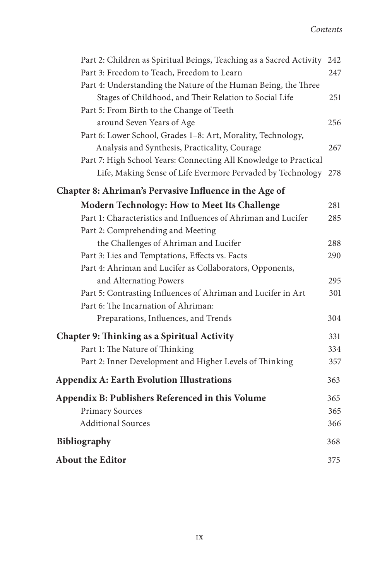| Part 2: Children as Spiritual Beings, Teaching as a Sacred Activity 242 |     |
|-------------------------------------------------------------------------|-----|
| Part 3: Freedom to Teach, Freedom to Learn                              | 247 |
| Part 4: Understanding the Nature of the Human Being, the Three          |     |
| Stages of Childhood, and Their Relation to Social Life                  | 251 |
| Part 5: From Birth to the Change of Teeth                               |     |
| around Seven Years of Age                                               | 256 |
| Part 6: Lower School, Grades 1-8: Art, Morality, Technology,            |     |
| Analysis and Synthesis, Practicality, Courage                           | 267 |
| Part 7: High School Years: Connecting All Knowledge to Practical        |     |
| Life, Making Sense of Life Evermore Pervaded by Technology              | 278 |
| Chapter 8: Ahriman's Pervasive Influence in the Age of                  |     |
| Modern Technology: How to Meet Its Challenge                            | 281 |
| Part 1: Characteristics and Influences of Ahriman and Lucifer           | 285 |
| Part 2: Comprehending and Meeting                                       |     |
| the Challenges of Ahriman and Lucifer                                   | 288 |
| Part 3: Lies and Temptations, Effects vs. Facts                         | 290 |
| Part 4: Ahriman and Lucifer as Collaborators, Opponents,                |     |
| and Alternating Powers                                                  | 295 |
| Part 5: Contrasting Influences of Ahriman and Lucifer in Art            | 301 |
| Part 6: The Incarnation of Ahriman:                                     |     |
| Preparations, Influences, and Trends                                    | 304 |
| Chapter 9: Thinking as a Spiritual Activity                             | 331 |
| Part 1: The Nature of Thinking                                          | 334 |
| Part 2: Inner Development and Higher Levels of Thinking                 | 357 |
| <b>Appendix A: Earth Evolution Illustrations</b>                        | 363 |
| Appendix B: Publishers Referenced in this Volume                        | 365 |
| <b>Primary Sources</b>                                                  | 365 |
| <b>Additional Sources</b>                                               | 366 |
| <b>Bibliography</b>                                                     | 368 |
| About the Editor                                                        | 375 |
|                                                                         |     |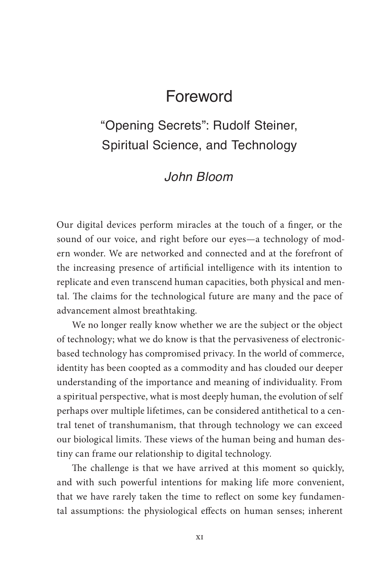## Foreword

## "Opening Secrets": Rudolf Steiner, Spiritual Science, and Technology

### *John Bloom*

Our digital devices perform miracles at the touch of a finger, or the sound of our voice, and right before our eyes—a technology of modern wonder. We are networked and connected and at the forefront of the increasing presence of artificial intelligence with its intention to replicate and even transcend human capacities, both physical and mental. The claims for the technological future are many and the pace of advancement almost breathtaking.

We no longer really know whether we are the subject or the object of technology; what we do know is that the pervasiveness of electronicbased technology has compromised privacy. In the world of commerce, identity has been coopted as a commodity and has clouded our deeper understanding of the importance and meaning of individuality. From a spiritual perspective, what is most deeply human, the evolution of self perhaps over multiple lifetimes, can be considered antithetical to a central tenet of transhumanism, that through technology we can exceed our biological limits. These views of the human being and human destiny can frame our relationship to digital technology.

The challenge is that we have arrived at this moment so quickly, and with such powerful intentions for making life more convenient, that we have rarely taken the time to reflect on some key fundamental assumptions: the physiological effects on human senses; inherent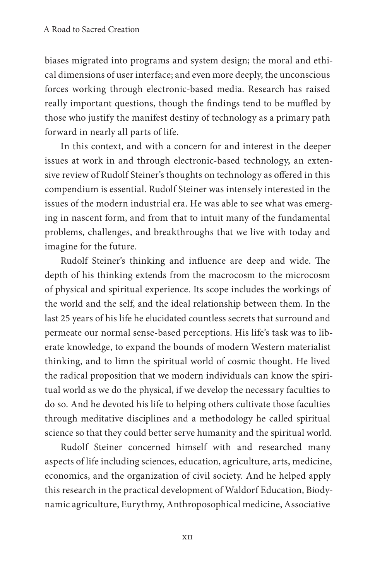biases migrated into programs and system design; the moral and ethical dimensions of user interface; and even more deeply, the unconscious forces working through electronic-based media. Research has raised really important questions, though the findings tend to be muffled by those who justify the manifest destiny of technology as a primary path forward in nearly all parts of life.

In this context, and with a concern for and interest in the deeper issues at work in and through electronic-based technology, an extensive review of Rudolf Steiner's thoughts on technology as offered in this compendium is essential. Rudolf Steiner was intensely interested in the issues of the modern industrial era. He was able to see what was emerging in nascent form, and from that to intuit many of the fundamental problems, challenges, and breakthroughs that we live with today and imagine for the future.

Rudolf Steiner's thinking and influence are deep and wide. The depth of his thinking extends from the macrocosm to the microcosm of physical and spiritual experience. Its scope includes the workings of the world and the self, and the ideal relationship between them. In the last 25 years of his life he elucidated countless secrets that surround and permeate our normal sense-based perceptions. His life's task was to liberate knowledge, to expand the bounds of modern Western materialist thinking, and to limn the spiritual world of cosmic thought. He lived the radical proposition that we modern individuals can know the spiritual world as we do the physical, if we develop the necessary faculties to do so. And he devoted his life to helping others cultivate those faculties through meditative disciplines and a methodology he called spiritual science so that they could better serve humanity and the spiritual world.

Rudolf Steiner concerned himself with and researched many aspects of life including sciences, education, agriculture, arts, medicine, economics, and the organization of civil society. And he helped apply this research in the practical development of Waldorf Education, Biodynamic agriculture, Eurythmy, Anthroposophical medicine, Associative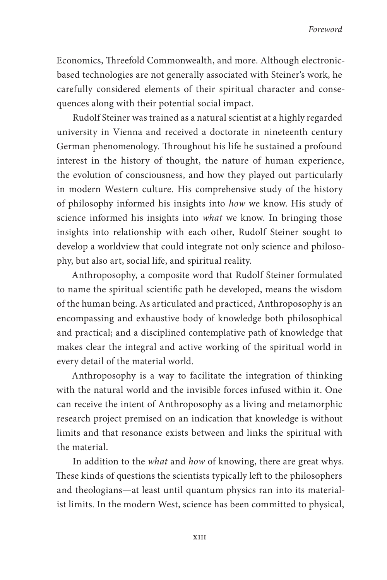Economics, Threefold Commonwealth, and more. Although electronicbased technologies are not generally associated with Steiner's work, he carefully considered elements of their spiritual character and consequences along with their potential social impact.

Rudolf Steiner was trained as a natural scientist at a highly regarded university in Vienna and received a doctorate in nineteenth century German phenomenology. Throughout his life he sustained a profound interest in the history of thought, the nature of human experience, the evolution of consciousness, and how they played out particularly in modern Western culture. His comprehensive study of the history of philosophy informed his insights into *how* we know. His study of science informed his insights into *what* we know. In bringing those insights into relationship with each other, Rudolf Steiner sought to develop a worldview that could integrate not only science and philosophy, but also art, social life, and spiritual reality.

Anthroposophy, a composite word that Rudolf Steiner formulated to name the spiritual scientific path he developed, means the wisdom of the human being. As articulated and practiced, Anthroposophy is an encompassing and exhaustive body of knowledge both philosophical and practical; and a disciplined contemplative path of knowledge that makes clear the integral and active working of the spiritual world in every detail of the material world.

Anthroposophy is a way to facilitate the integration of thinking with the natural world and the invisible forces infused within it. One can receive the intent of Anthroposophy as a living and metamorphic research project premised on an indication that knowledge is without limits and that resonance exists between and links the spiritual with the material.

In addition to the *what* and *how* of knowing, there are great whys. These kinds of questions the scientists typically left to the philosophers and theologians—at least until quantum physics ran into its materialist limits. In the modern West, science has been committed to physical,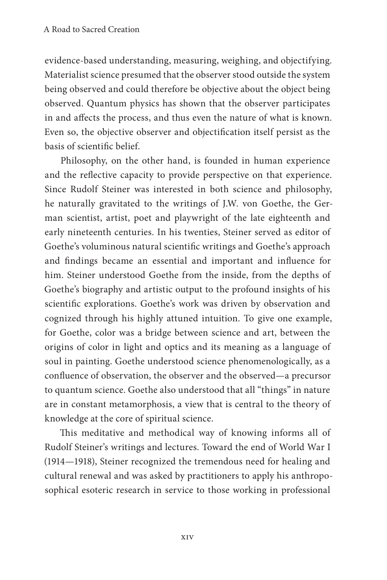evidence-based understanding, measuring, weighing, and objectifying. Materialist science presumed that the observer stood outside the system being observed and could therefore be objective about the object being observed. Quantum physics has shown that the observer participates in and affects the process, and thus even the nature of what is known. Even so, the objective observer and objectification itself persist as the basis of scientific belief.

Philosophy, on the other hand, is founded in human experience and the reflective capacity to provide perspective on that experience. Since Rudolf Steiner was interested in both science and philosophy, he naturally gravitated to the writings of J.W. von Goethe, the German scientist, artist, poet and playwright of the late eighteenth and early nineteenth centuries. In his twenties, Steiner served as editor of Goethe's voluminous natural scientific writings and Goethe's approach and findings became an essential and important and influence for him. Steiner understood Goethe from the inside, from the depths of Goethe's biography and artistic output to the profound insights of his scientific explorations. Goethe's work was driven by observation and cognized through his highly attuned intuition. To give one example, for Goethe, color was a bridge between science and art, between the origins of color in light and optics and its meaning as a language of soul in painting. Goethe understood science phenomenologically, as a confluence of observation, the observer and the observed—a precursor to quantum science. Goethe also understood that all "things" in nature are in constant metamorphosis, a view that is central to the theory of knowledge at the core of spiritual science.

This meditative and methodical way of knowing informs all of Rudolf Steiner's writings and lectures. Toward the end of World War I (1914—1918), Steiner recognized the tremendous need for healing and cultural renewal and was asked by practitioners to apply his anthroposophical esoteric research in service to those working in professional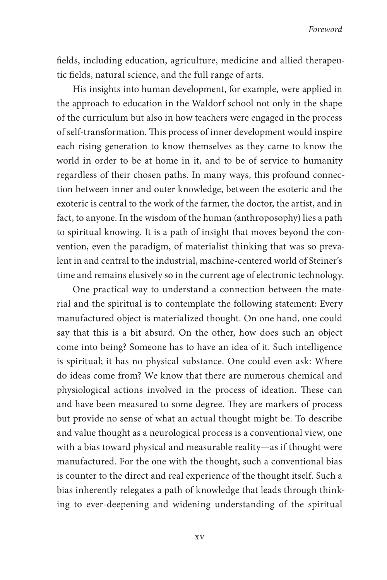fields, including education, agriculture, medicine and allied therapeutic fields, natural science, and the full range of arts.

His insights into human development, for example, were applied in the approach to education in the Waldorf school not only in the shape of the curriculum but also in how teachers were engaged in the process of self-transformation. This process of inner development would inspire each rising generation to know themselves as they came to know the world in order to be at home in it, and to be of service to humanity regardless of their chosen paths. In many ways, this profound connection between inner and outer knowledge, between the esoteric and the exoteric is central to the work of the farmer, the doctor, the artist, and in fact, to anyone. In the wisdom of the human (anthroposophy) lies a path to spiritual knowing. It is a path of insight that moves beyond the convention, even the paradigm, of materialist thinking that was so prevalent in and central to the industrial, machine-centered world of Steiner's time and remains elusively so in the current age of electronic technology.

One practical way to understand a connection between the material and the spiritual is to contemplate the following statement: Every manufactured object is materialized thought. On one hand, one could say that this is a bit absurd. On the other, how does such an object come into being? Someone has to have an idea of it. Such intelligence is spiritual; it has no physical substance. One could even ask: Where do ideas come from? We know that there are numerous chemical and physiological actions involved in the process of ideation. These can and have been measured to some degree. They are markers of process but provide no sense of what an actual thought might be. To describe and value thought as a neurological process is a conventional view, one with a bias toward physical and measurable reality—as if thought were manufactured. For the one with the thought, such a conventional bias is counter to the direct and real experience of the thought itself. Such a bias inherently relegates a path of knowledge that leads through thinking to ever-deepening and widening understanding of the spiritual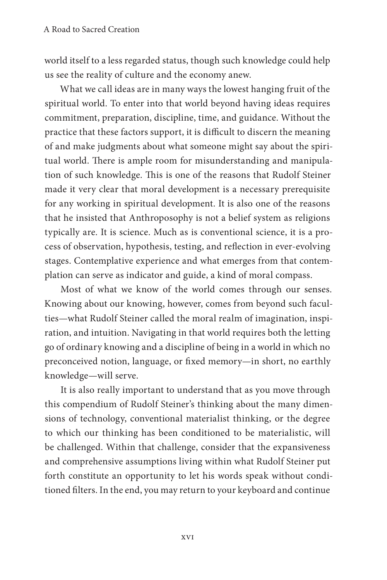world itself to a less regarded status, though such knowledge could help us see the reality of culture and the economy anew.

What we call ideas are in many ways the lowest hanging fruit of the spiritual world. To enter into that world beyond having ideas requires commitment, preparation, discipline, time, and guidance. Without the practice that these factors support, it is difficult to discern the meaning of and make judgments about what someone might say about the spiritual world. There is ample room for misunderstanding and manipulation of such knowledge. This is one of the reasons that Rudolf Steiner made it very clear that moral development is a necessary prerequisite for any working in spiritual development. It is also one of the reasons that he insisted that Anthroposophy is not a belief system as religions typically are. It is science. Much as is conventional science, it is a process of observation, hypothesis, testing, and reflection in ever-evolving stages. Contemplative experience and what emerges from that contemplation can serve as indicator and guide, a kind of moral compass.

Most of what we know of the world comes through our senses. Knowing about our knowing, however, comes from beyond such faculties—what Rudolf Steiner called the moral realm of imagination, inspiration, and intuition. Navigating in that world requires both the letting go of ordinary knowing and a discipline of being in a world in which no preconceived notion, language, or fixed memory—in short, no earthly knowledge—will serve.

It is also really important to understand that as you move through this compendium of Rudolf Steiner's thinking about the many dimensions of technology, conventional materialist thinking, or the degree to which our thinking has been conditioned to be materialistic, will be challenged. Within that challenge, consider that the expansiveness and comprehensive assumptions living within what Rudolf Steiner put forth constitute an opportunity to let his words speak without conditioned filters. In the end, you may return to your keyboard and continue